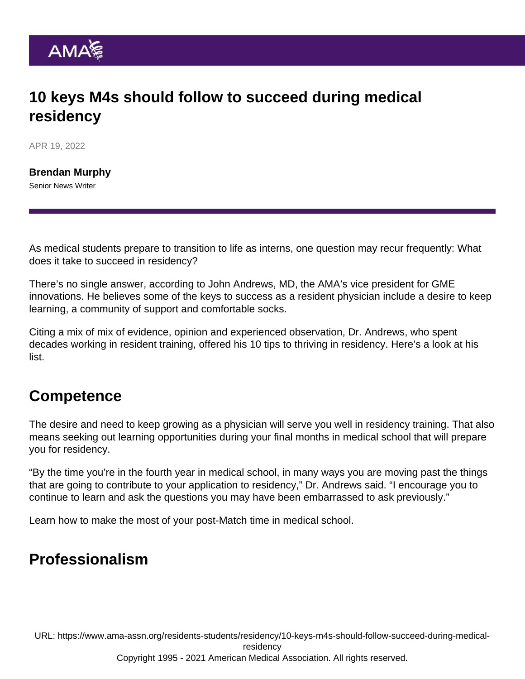## 10 keys M4s should follow to succeed during medical residency

APR 19, 2022

[Brendan Murphy](https://www.ama-assn.org/news-leadership-viewpoints/authors-news-leadership-viewpoints/brendan-murphy) Senior News Writer

As medical students prepare to transition to life as interns, one question may recur frequently: What does it take to succeed in residency?

There's no single answer, according to John Andrews, MD, the AMA's vice president for GME innovations. He believes some of the keys to success as a resident physician include a desire to keep learning, a community of support and comfortable socks.

Citing a mix of mix of evidence, opinion and experienced observation, Dr. Andrews, who spent decades working in resident training, offered his 10 tips to [thriving in residency.](https://www.ama-assn.org/series/thriving-residency) Here's a look at his list.

### **Competence**

The desire and need to keep growing as a physician will serve you well in residency training. That also means seeking out learning opportunities during your final months in medical school that will prepare you for residency.

"By the time you're in the fourth year in medical school, in many ways you are moving past the things that are going to contribute to your application to residency," Dr. Andrews said. "I encourage you to continue to learn and ask the questions you may have been embarrassed to ask previously."

Learn how [to make the most of your post-Match time in medical school](https://www.ama-assn.org/residents-students/residency/m4s-make-most-your-post-match-time-medical-school).

#### Professionalism

URL: [https://www.ama-assn.org/residents-students/residency/10-keys-m4s-should-follow-succeed-during-medical](https://www.ama-assn.org/residents-students/residency/10-keys-m4s-should-follow-succeed-during-medical-residency)[residency](https://www.ama-assn.org/residents-students/residency/10-keys-m4s-should-follow-succeed-during-medical-residency) Copyright 1995 - 2021 American Medical Association. All rights reserved.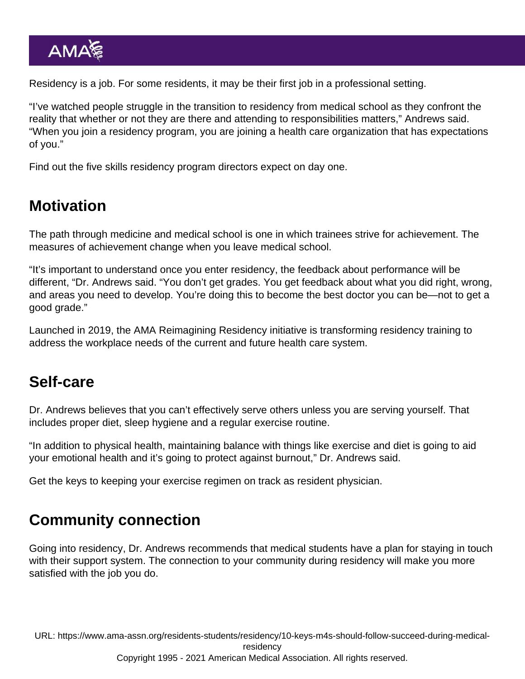Residency is a job. For some residents, it may be their first job in a professional setting.

"I've watched people struggle in the transition to residency from medical school as they confront the reality that whether or not they are there and attending to responsibilities matters," Andrews said. "When you join a residency program, you are joining a health care organization that has expectations of you."

Find out [the five skills residency program directors expect on day one](https://www.ama-assn.org/education/accelerating-change-medical-education/5-skills-residency-program-directors-expect-day-one).

#### **Motivation**

The path through medicine and medical school is one in which trainees strive for achievement. The measures of achievement change when you leave medical school.

"It's important to understand once you enter residency, the feedback about performance will be different, "Dr. Andrews said. "You don't get grades. You get feedback about what you did right, wrong, and areas you need to develop. You're doing this to become the best doctor you can be—not to get a good grade."

Launched in 2019, the [AMA Reimagining Residency initiative](https://www.ama-assn.org/education/accelerating-change-medical-education/ama-reimagining-residency-initiative) is transforming residency training to address the workplace needs of the current and future health care system.

#### Self-care

Dr. Andrews believes that you can't effectively serve others unless you are serving yourself. That includes proper diet, sleep hygiene and a regular exercise routine.

"In addition to physical health, maintaining balance with things like exercise and diet is going to aid your emotional health and it's going to protect against burnout," Dr. Andrews said.

Get the keys to [keeping your exercise regimen on track as resident physician.](https://www.ama-assn.org/residents-students/resident-student-health/get-your-exercise-regimen-track-resident-physician)

### Community connection

Going into residency, Dr. Andrews recommends that medical students have a plan for staying in touch with their support system. The connection to your community during residency will make you more satisfied with the job you do.

URL: [https://www.ama-assn.org/residents-students/residency/10-keys-m4s-should-follow-succeed-during-medical](https://www.ama-assn.org/residents-students/residency/10-keys-m4s-should-follow-succeed-during-medical-residency)[residency](https://www.ama-assn.org/residents-students/residency/10-keys-m4s-should-follow-succeed-during-medical-residency) Copyright 1995 - 2021 American Medical Association. All rights reserved.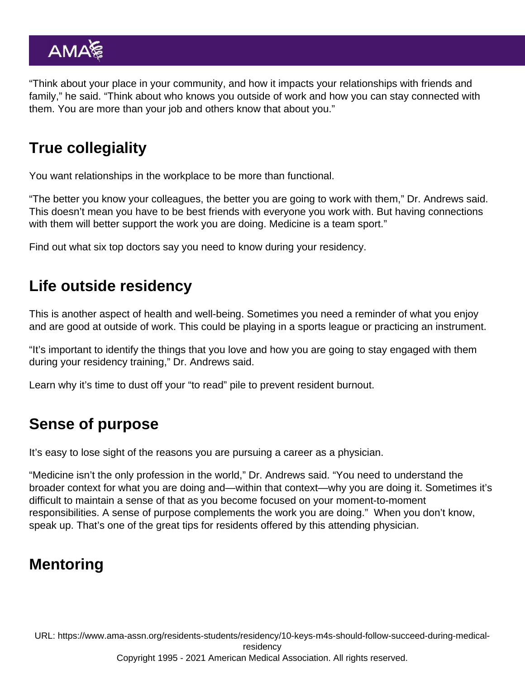"Think about your place in your community, and how it impacts your relationships with friends and family," he said. "Think about who knows you outside of work and how you can stay connected with them. You are more than your job and others know that about you."

## True collegiality

You want relationships in the workplace to be more than functional.

"The better you know your colleagues, the better you are going to work with them," Dr. Andrews said. This doesn't mean you have to be best friends with everyone you work with. But having connections with them will better support the work you are doing. Medicine is a team sport."

Find out what [six top doctors say you need to know during your residency](https://www.ama-assn.org/residents-students/residency/6-top-doctors-reveal-what-you-need-know-during-your-residency).

## Life outside residency

This is another aspect of health and well-being. Sometimes you need a reminder of what you enjoy and are good at outside of work. This could be playing in a sports league or practicing an instrument.

"It's important to identify the things that you love and how you are going to stay engaged with them during your residency training," Dr. Andrews said.

Learn why it's time to [dust off your "to read" pile to prevent resident burnout.](https://www.ama-assn.org/residents-students/resident-student-health/dust-your-read-pile-reading-reduces-resident-burnout)

# Sense of purpose

It's easy to lose sight of the reasons you are pursuing a career as a physician.

"Medicine isn't the only profession in the world," Dr. Andrews said. "You need to understand the broader context for what you are doing and—within that context—why you are doing it. Sometimes it's difficult to maintain a sense of that as you become focused on your moment-to-moment responsibilities. A sense of purpose complements the work you are doing." When you don't know, speak up. That's one of the great tips for [residents offered by this attending physician.](https://www.ama-assn.org/residents-students/residency/ask-attending-what-are-keys-success-resident)

# Mentoring

URL: [https://www.ama-assn.org/residents-students/residency/10-keys-m4s-should-follow-succeed-during-medical](https://www.ama-assn.org/residents-students/residency/10-keys-m4s-should-follow-succeed-during-medical-residency)[residency](https://www.ama-assn.org/residents-students/residency/10-keys-m4s-should-follow-succeed-during-medical-residency) Copyright 1995 - 2021 American Medical Association. All rights reserved.